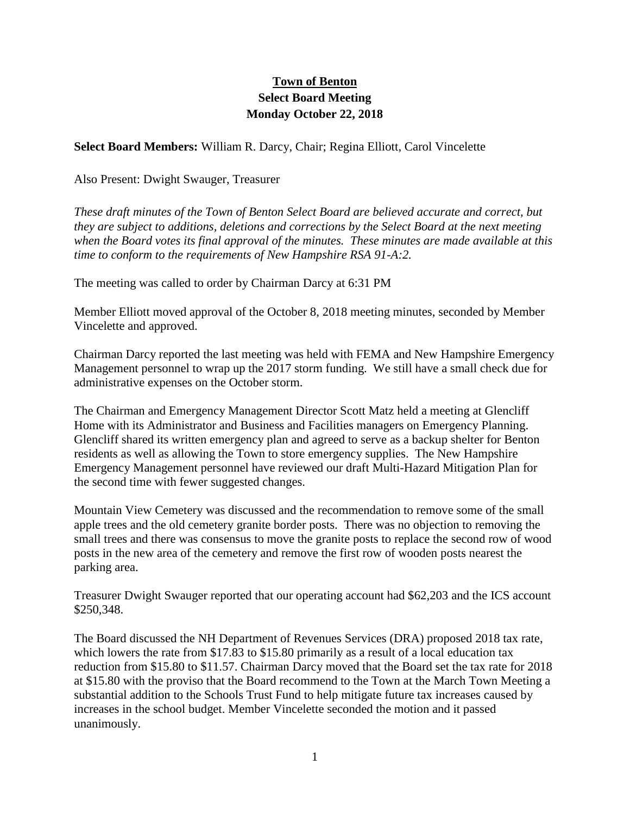## **Town of Benton Select Board Meeting Monday October 22, 2018**

**Select Board Members:** William R. Darcy, Chair; Regina Elliott, Carol Vincelette

Also Present: Dwight Swauger, Treasurer

*These draft minutes of the Town of Benton Select Board are believed accurate and correct, but they are subject to additions, deletions and corrections by the Select Board at the next meeting when the Board votes its final approval of the minutes. These minutes are made available at this time to conform to the requirements of New Hampshire RSA 91-A:2.*

The meeting was called to order by Chairman Darcy at 6:31 PM

Member Elliott moved approval of the October 8, 2018 meeting minutes, seconded by Member Vincelette and approved.

Chairman Darcy reported the last meeting was held with FEMA and New Hampshire Emergency Management personnel to wrap up the 2017 storm funding. We still have a small check due for administrative expenses on the October storm.

The Chairman and Emergency Management Director Scott Matz held a meeting at Glencliff Home with its Administrator and Business and Facilities managers on Emergency Planning. Glencliff shared its written emergency plan and agreed to serve as a backup shelter for Benton residents as well as allowing the Town to store emergency supplies. The New Hampshire Emergency Management personnel have reviewed our draft Multi-Hazard Mitigation Plan for the second time with fewer suggested changes.

Mountain View Cemetery was discussed and the recommendation to remove some of the small apple trees and the old cemetery granite border posts. There was no objection to removing the small trees and there was consensus to move the granite posts to replace the second row of wood posts in the new area of the cemetery and remove the first row of wooden posts nearest the parking area.

Treasurer Dwight Swauger reported that our operating account had \$62,203 and the ICS account \$250,348.

The Board discussed the NH Department of Revenues Services (DRA) proposed 2018 tax rate, which lowers the rate from \$17.83 to \$15.80 primarily as a result of a local education tax reduction from \$15.80 to \$11.57. Chairman Darcy moved that the Board set the tax rate for 2018 at \$15.80 with the proviso that the Board recommend to the Town at the March Town Meeting a substantial addition to the Schools Trust Fund to help mitigate future tax increases caused by increases in the school budget. Member Vincelette seconded the motion and it passed unanimously.